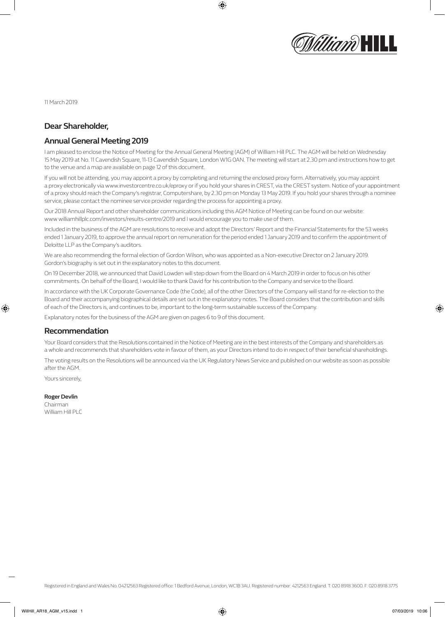

11 March 2019

### **Dear Shareholder,**

### **Annual General Meeting 2019**

I am pleased to enclose the Notice of Meeting for the Annual General Meeting (AGM) of William Hill PLC. The AGM will be held on Wednesday 15 May 2019 at No. 11 Cavendish Square, 11-13 Cavendish Square, London W1G 0AN. The meeting will start at 2.30 pm and instructions how to get to the venue and a map are available on page 12 of this document.

⊕

If you will not be attending, you may appoint a proxy by completing and returning the enclosed proxy form. Alternatively, you may appoint a proxy electronically via www.investorcentre.co.uk/eproxy or if you hold your shares in CREST, via the CREST system. Notice of your appointment of a proxy should reach the Company's registrar, Computershare, by 2.30 pm on Monday 13 May 2019. If you hold your shares through a nominee service, please contact the nominee service provider regarding the process for appointing a proxy.

Our 2018 Annual Report and other shareholder communications including this AGM Notice of Meeting can be found on our website: www williamhillplc.com/investors/results-centre/2019 and I would encourage you to make use of them.

Included in the business of the AGM are resolutions to receive and adopt the Directors' Report and the Financial Statements for the 53 weeks ended 1 January 2019, to approve the annual report on remuneration for the period ended 1 January 2019 and to confirm the appointment of Deloitte LLP as the Company's auditors.

We are also recommending the formal election of Gordon Wilson, who was appointed as a Non-executive Director on 2 January 2019. Gordon's biography is set out in the explanatory notes to this document.

On 19 December 2018, we announced that David Lowden will step down from the Board on 4 March 2019 in order to focus on his other commitments. On behalf of the Board, I would like to thank David for his contribution to the Company and service to the Board.

In accordance with the UK Corporate Governance Code (the Code), all of the other Directors of the Company will stand for re-election to the Board and their accompanying biographical details are set out in the explanatory notes. The Board considers that the contribution and skills of each of the Directors is, and continues to be, important to the long-term sustainable success of the Company.

Explanatory notes for the business of the AGM are given on pages 6 to 9 of this document.

#### **Recommendation**

Your Board considers that the Resolutions contained in the Notice of Meeting are in the best interests of the Company and shareholders as a whole and recommends that shareholders vote in favour of them, as your Directors intend to do in respect of their beneficial shareholdings.

The voting results on the Resolutions will be announced via the UK Regulatory News Service and published on our website as soon as possible after the AGM.

Yours sincerely,

♠

#### **Roger Devlin**

Chairman William Hill PLC

Registered in England and Wales No. 04212563 Registered office: 1 Bedford Avenue, London, WC1B 3AU. Registered number: 4212563 England. T: 020 8918 3600. F: 020 8918 3775

♠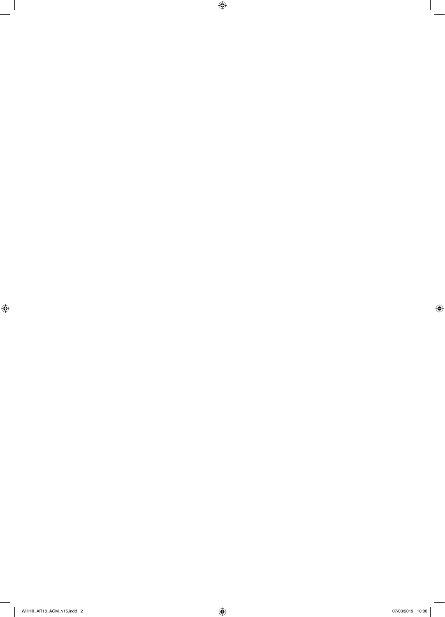$\mathbb{R}^2$ 

 $\bigoplus$ 

 $\frac{1}{2}$ 

 $\bigoplus$ 

 $\bigoplus$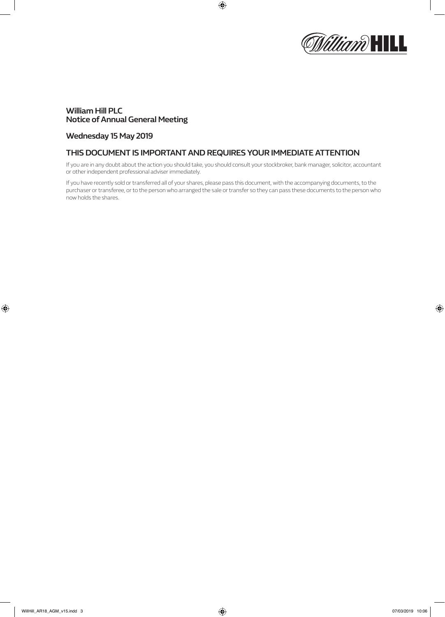

### **William Hill PLC Notice of Annual General Meeting**

### **Wednesday 15 May 2019**

### **THIS DOCUMENT IS IMPORTANT AND REQUIRES YOUR IMMEDIATE ATTENTION**

If you are in any doubt about the action you should take, you should consult your stockbroker, bank manager, solicitor, accountant or other independent professional adviser immediately.

 $\bigoplus$ 

If you have recently sold or transferred all of your shares, please pass this document, with the accompanying documents, to the purchaser or transferee, or to the person who arranged the sale or transfer so they can pass these documents to the person who now holds the shares.

 $\bigoplus$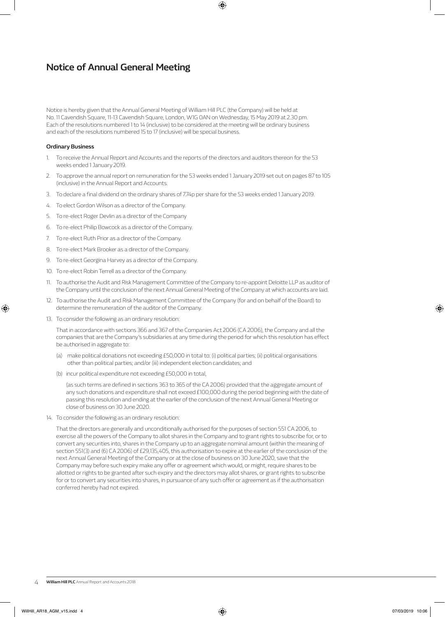# **Notice of Annual General Meeting**

Notice is hereby given that the Annual General Meeting of William Hill PLC (the Company) will be held at No. 11 Cavendish Square, 11-13 Cavendish Square, London, W1G 0AN on Wednesday, 15 May 2019 at 2.30 pm. Each of the resolutions numbered 1 to 14 (inclusive) to be considered at the meeting will be ordinary business and each of the resolutions numbered 15 to 17 (inclusive) will be special business.

⊕

#### **Ordinary Business**

⊕

- 1. To receive the Annual Report and Accounts and the reports of the directors and auditors thereon for the 53 weeks ended 1 January 2019.
- 2. To approve the annual report on remuneration for the 53 weeks ended 1 January 2019 set out on pages 87 to 105 (inclusive) in the Annual Report and Accounts.
- 3. To declare a final dividend on the ordinary shares of 7.74p per share for the 53 weeks ended 1 January 2019.
- 4. To elect Gordon Wilson as a director of the Company.
- 5. To re-elect Roger Devlin as a director of the Company
- 6. To re-elect Philip Bowcock as a director of the Company.
- 7. To re-elect Ruth Prior as a director of the Company.
- 8. To re-elect Mark Brooker as a director of the Company.
- 9. To re-elect Georgina Harvey as a director of the Company.
- 10. To re-elect Robin Terrell as a director of the Company.
- 11. To authorise the Audit and Risk Management Committee of the Company to re-appoint Deloitte LLP as auditor of the Company until the conclusion of the next Annual General Meeting of the Company at which accounts are laid.
- 12. To authorise the Audit and Risk Management Committee of the Company (for and on behalf of the Board) to determine the remuneration of the auditor of the Company.
- 13. To consider the following as an ordinary resolution:

 That in accordance with sections 366 and 367 of the Companies Act 2006 (CA 2006), the Company and all the companies that are the Company's subsidiaries at any time during the period for which this resolution has effect be authorised in aggregate to:

- (a) make political donations not exceeding £50,000 in total to: (i) political parties; (ii) political organisations other than political parties; and/or (iii) independent election candidates; and
- (b) incur political expenditure not exceeding £50,000 in total,

 (as such terms are defined in sections 363 to 365 of the CA 2006) provided that the aggregate amount of any such donations and expenditure shall not exceed £100,000 during the period beginning with the date of passing this resolution and ending at the earlier of the conclusion of the next Annual General Meeting or close of business on 30 June 2020.

14. To consider the following as an ordinary resolution:

 That the directors are generally and unconditionally authorised for the purposes of section 551 CA 2006, to exercise all the powers of the Company to allot shares in the Company and to grant rights to subscribe for, or to convert any securities into, shares in the Company up to an aggregate nominal amount (within the meaning of section 551(3) and (6) CA 2006) of £29,135,405, this authorisation to expire at the earlier of the conclusion of the next Annual General Meeting of the Company or at the close of business on 30 June 2020, save that the Company may before such expiry make any offer or agreement which would, or might, require shares to be allotted or rights to be granted after such expiry and the directors may allot shares, or grant rights to subscribe for or to convert any securities into shares, in pursuance of any such offer or agreement as if the authorisation conferred hereby had not expired.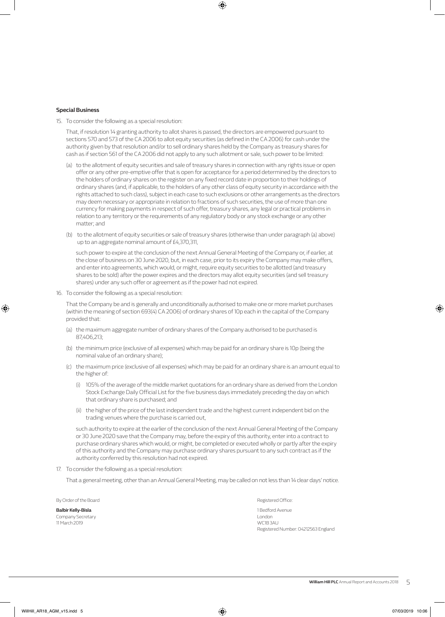⊕

#### **Special Business**

15. To consider the following as a special resolution:

 That, if resolution 14 granting authority to allot shares is passed, the directors are empowered pursuant to sections 570 and 573 of the CA 2006 to allot equity securities (as defined in the CA 2006) for cash under the authority given by that resolution and/or to sell ordinary shares held by the Company as treasury shares for cash as if section 561 of the CA 2006 did not apply to any such allotment or sale, such power to be limited:

- (a) to the allotment of equity securities and sale of treasury shares in connection with any rights issue or open offer or any other pre-emptive offer that is open for acceptance for a period determined by the directors to the holders of ordinary shares on the register on any fixed record date in proportion to their holdings of ordinary shares (and, if applicable, to the holders of any other class of equity security in accordance with the rights attached to such class), subject in each case to such exclusions or other arrangements as the directors may deem necessary or appropriate in relation to fractions of such securities, the use of more than one currency for making payments in respect of such offer, treasury shares, any legal or practical problems in relation to any territory or the requirements of any regulatory body or any stock exchange or any other matter; and
- (b) to the allotment of equity securities or sale of treasury shares (otherwise than under paragraph (a) above) up to an aggregate nominal amount of £4,370,311,

 such power to expire at the conclusion of the next Annual General Meeting of the Company or, if earlier, at the close of business on 30 June 2020, but, in each case, prior to its expiry the Company may make offers, and enter into agreements, which would, or might, require equity securities to be allotted (and treasury shares to be sold) after the power expires and the directors may allot equity securities (and sell treasury shares) under any such offer or agreement as if the power had not expired.

16. To consider the following as a special resolution:

 That the Company be and is generally and unconditionally authorised to make one or more market purchases (within the meaning of section 693(4) CA 2006) of ordinary shares of 10p each in the capital of the Company provided that:

- (a) the maximum aggregate number of ordinary shares of the Company authorised to be purchased is 87,406,213;
- (b) the minimum price (exclusive of all expenses) which may be paid for an ordinary share is 10p (being the nominal value of an ordinary share);
- (c) the maximum price (exclusive of all expenses) which may be paid for an ordinary share is an amount equal to the higher of:
	- (i) 105% of the average of the middle market quotations for an ordinary share as derived from the London Stock Exchange Daily Official List for the five business days immediately preceding the day on which that ordinary share is purchased; and
	- (ii) the higher of the price of the last independent trade and the highest current independent bid on the trading venues where the purchase is carried out,

 such authority to expire at the earlier of the conclusion of the next Annual General Meeting of the Company or 30 June 2020 save that the Company may, before the expiry of this authority, enter into a contract to purchase ordinary shares which would, or might, be completed or executed wholly or partly after the expiry of this authority and the Company may purchase ordinary shares pursuant to any such contract as if the authority conferred by this resolution had not expired.

17. To consider the following as a special resolution:

That a general meeting, other than an Annual General Meeting, may be called on not less than 14 clear days' notice.

By Order of the Board Registered Office:  $\blacksquare$ 

**Balbir Kelly-Bisla** 1 Bedford Avenue<br>
1 Bedford Avenue<br>
1 Bedford Avenue Company Secretary **London**<br>11 March 2019 - 2019 - 2019 - 2019 - 2019 - 2019 - 2019 - 2020 - 2021 - 2021 - 2021 - 2021 - 2021 - 2021 - 20<br>WC1B 3AU 11 March 2019

Registered Number: 04212563 England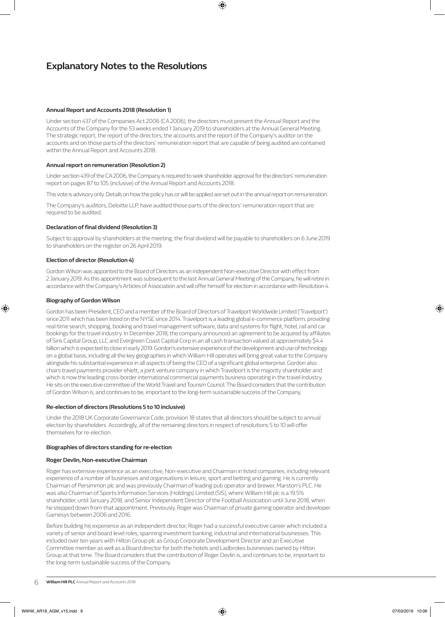#### **Annual Report and Accounts 2018 (Resolution 1)**

Under section 437 of the Companies Act 2006 (CA 2006), the directors must present the Annual Report and the Accounts of the Company for the 53 weeks ended 1 January 2019 to shareholders at the Annual General Meeting. The strategic report, the report of the directors, the accounts and the report of the Company's auditor on the accounts and on those parts of the directors' remuneration report that are capable of being audited are contained within the Annual Report and Accounts 2018.

⊕

#### **Annual report on remuneration (Resolution 2)**

Under section 439 of the CA 2006, the Company is required to seek shareholder approval for the directors' remuneration report on pages 87 to 105 (inclusive) of the Annual Report and Accounts 2018.

This vote is advisory only. Details on how the policy has or will be applied are set out in the annual report on remuneration.

The Company's auditors, Deloitte LLP, have audited those parts of the directors' remuneration report that are required to be audited.

#### **Declaration of final dividend (Resolution 3)**

Subject to approval by shareholders at the meeting, the final dividend will be payable to shareholders on 6 June 2019 to shareholders on the register on 26 April 2019.

#### **Election of director (Resolution 4)**

Gordon Wilson was appointed to the Board of Directors as an independent Non-executive Director with effect from 2 January 2019. As this appointment was subsequent to the last Annual General Meeting of the Company, he will retire in accordance with the Company's Articles of Association and will offer himself for election in accordance with Resolution 4.

#### **Biography of Gordon Wilson**

⊕

Gordon has been President, CEO and a member of the Board of Directors of Travelport Worldwide Limited ('Travelport') since 2011 which has been listed on the NYSE since 2014. Travelport is a leading global e-commerce platform, providing real-time search, shopping, booking and travel management software, data and systems for flight, hotel, rail and car bookings for the travel industry. In December 2018, the company announced an agreement to be acquired by affiliates of Siris Capital Group, LLC and Evergreen Coast Capital Corp in an all cash transaction valued at approximately \$4.4 billion which is expected to close in early 2019. Gordon's extensive experience of the development and use of technology on a global basis, including all the key geographies in which William Hill operates will bring great value to the Company alongside his substantial experience in all aspects of being the CEO of a significant global enterprise. Gordon also chairs travel payments provider eNett, a joint venture company in which Travelport is the majority shareholder and which is now the leading cross-border international commercial payments business operating in the travel industry. He sits on the executive committee of the World Travel and Tourism Council. The Board considers that the contribution of Gordon Wilson is, and continues to be, important to the long-term sustainable success of the Company.

#### **Re-election of directors (Resolutions 5 to 10 inclusive)**

Under the 2018 UK Corporate Governance Code, provision 18 states that all directors should be subject to annual election by shareholders. Accordingly, all of the remaining directors in respect of resolutions 5 to 10 will offer themselves for re-election.

#### **Biographies of directors standing for re-election**

#### **Roger Devlin, Non-executive Chairman**

Roger has extensive experience as an executive, Non-executive and Chairman in listed companies, including relevant experience of a number of businesses and organisations in leisure, sport and betting and gaming. He is currently Chairman of Persimmon plc and was previously Chairman of leading pub operator and brewer, Marston's PLC. He was also Chairman of Sports Information Services (Holdings) Limited (SIS), where William Hill plc is a 19.5% shareholder, until January 2018, and Senior Independent Director of the Football Association until June 2018, when he stepped down from that appointment. Previously, Roger was Chairman of private gaming operator and developer Gamesys between 2006 and 2016.

Before building his experience as an independent director, Roger had a successful executive career which included a variety of senior and board level roles, spanning investment banking, industrial and international businesses. This included over ten years with Hilton Group plc as Group Corporate Development Director and an Executive Committee member as well as a Board director for both the hotels and Ladbrokes businesses owned by Hilton Group at that time. The Board considers that the contribution of Roger Devlin is, and continues to be, important to the long-term sustainable success of the Company.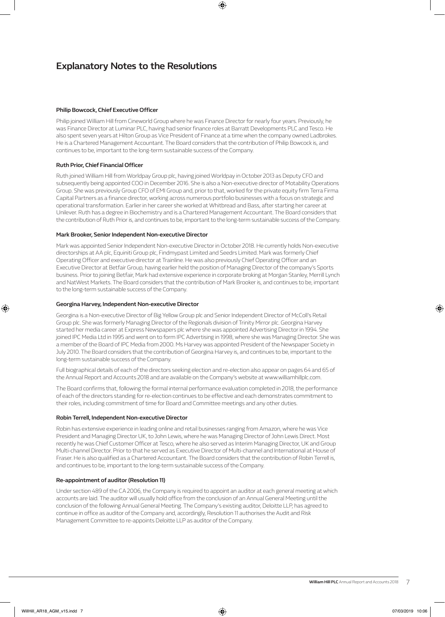#### **Philip Bowcock, Chief Executive Officer**

Philip joined William Hill from Cineworld Group where he was Finance Director for nearly four years. Previously, he was Finance Director at Luminar PLC, having had senior finance roles at Barratt Developments PLC and Tesco. He also spent seven years at Hilton Group as Vice President of Finance at a time when the company owned Ladbrokes. He is a Chartered Management Accountant. The Board considers that the contribution of Philip Bowcock is, and continues to be, important to the long-term sustainable success of the Company.

⊕

#### **Ruth Prior, Chief Financial Officer**

Ruth joined William Hill from Worldpay Group plc, having joined Worldpay in October 2013 as Deputy CFO and subsequently being appointed COO in December 2016. She is also a Non-executive director of Motability Operations Group. She was previously Group CFO of EMI Group and, prior to that, worked for the private equity firm Terra Firma Capital Partners as a finance director, working across numerous portfolio businesses with a focus on strategic and operational transformation. Earlier in her career she worked at Whitbread and Bass, after starting her career at Unilever. Ruth has a degree in Biochemistry and is a Chartered Management Accountant. The Board considers that the contribution of Ruth Prior is, and continues to be, important to the long-term sustainable success of the Company.

#### **Mark Brooker, Senior Independent Non-executive Director**

Mark was appointed Senior Independent Non-executive Director in October 2018. He currently holds Non-executive directorships at AA plc, Equiniti Group plc, Findmypast Limited and Seedrs Limited. Mark was formerly Chief Operating Officer and executive director at Trainline. He was also previously Chief Operating Officer and an Executive Director at Betfair Group, having earlier held the position of Managing Director of the company's Sports business. Prior to joining Betfair, Mark had extensive experience in corporate broking at Morgan Stanley, Merrill Lynch and NatWest Markets. The Board considers that the contribution of Mark Brooker is, and continues to be, important to the long-term sustainable success of the Company.

#### **Georgina Harvey, Independent Non-executive Director**

Georgina is a Non-executive Director of Big Yellow Group plc and Senior Independent Director of McColl's Retail Group plc. She was formerly Managing Director of the Regionals division of Trinity Mirror plc. Georgina Harvey started her media career at Express Newspapers plc where she was appointed Advertising Director in 1994. She joined IPC Media Ltd in 1995 and went on to form IPC Advertising in 1998, where she was Managing Director. She was a member of the Board of IPC Media from 2000. Ms Harvey was appointed President of the Newspaper Society in July 2010. The Board considers that the contribution of Georgina Harvey is, and continues to be, important to the long-term sustainable success of the Company.

Full biographical details of each of the directors seeking election and re-election also appear on pages 64 and 65 of the Annual Report and Accounts 2018 and are available on the Company's website at www.williamhillplc.com.

The Board confirms that, following the formal internal performance evaluation completed in 2018, the performance of each of the directors standing for re-election continues to be effective and each demonstrates commitment to their roles, including commitment of time for Board and Committee meetings and any other duties.

#### **Robin Terrell, Independent Non-executive Director**

Robin has extensive experience in leading online and retail businesses ranging from Amazon, where he was Vice President and Managing Director UK, to John Lewis, where he was Managing Director of John Lewis Direct. Most recently he was Chief Customer Officer at Tesco, where he also served as Interim Managing Director, UK and Group Multi-channel Director. Prior to that he served as Executive Director of Multi-channel and International at House of Fraser. He is also qualified as a Chartered Accountant. The Board considers that the contribution of Robin Terrell is, and continues to be, important to the long-term sustainable success of the Company.

#### **Re-appointment of auditor (Resolution 11)**

Under section 489 of the CA 2006, the Company is required to appoint an auditor at each general meeting at which accounts are laid. The auditor will usually hold office from the conclusion of an Annual General Meeting until the conclusion of the following Annual General Meeting. The Company's existing auditor, Deloitte LLP, has agreed to continue in office as auditor of the Company and, accordingly, Resolution 11 authorises the Audit and Risk Management Committee to re-appoints Deloitte LLP as auditor of the Company.

⊕

♠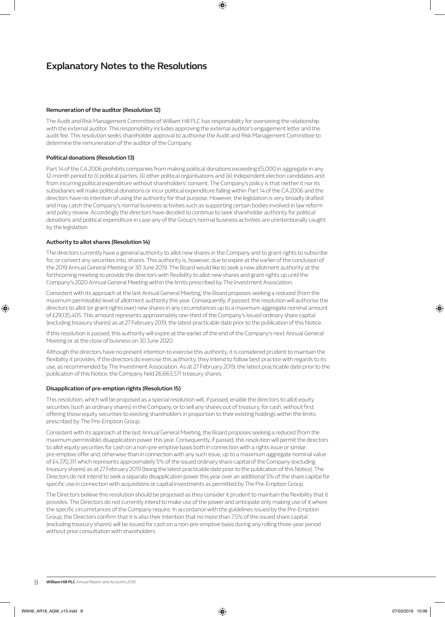#### **Remuneration of the auditor (Resolution 12)**

The Audit and Risk Management Committee of William Hill PLC has responsibility for overseeing the relationship with the external auditor. This responsibility includes approving the external auditor's engagement letter and the audit fee. This resolution seeks shareholder approval to authorise the Audit and Risk Management Committee to determine the remuneration of the auditor of the Company.

⊕

#### **Political donations (Resolution 13)**

Part 14 of the CA 2006 prohibits companies from making political donations exceeding £5,000 in aggregate in any 12-month period to (i) political parties; (ii) other political organisations and (iii) independent election candidates and from incurring political expenditure without shareholders' consent. The Company's policy is that neither it nor its subsidiaries will make political donations or incur political expenditure falling within Part 14 of the CA 2006 and the directors have no intention of using the authority for that purpose. However, the legislation is very broadly drafted and may catch the Company's normal business activities such as supporting certain bodies involved in law reform and policy review. Accordingly the directors have decided to continue to seek shareholder authority for political donations and political expenditure in case any of the Group's normal business activities are unintentionally caught by the legislation.

#### **Authority to allot shares (Resolution 14)**

⊕

The directors currently have a general authority to allot new shares in the Company and to grant rights to subscribe for, or convert any securities into, shares. This authority is, however, due to expire at the earlier of the conclusion of the 2019 Annual General Meeting or 30 June 2019. The Board would like to seek a new allotment authority at the forthcoming meeting to provide the directors with flexibility to allot new shares and grant rights up until the Company's 2020 Annual General Meeting within the limits prescribed by The Investment Association.

Consistent with its approach at the last Annual General Meeting, the Board proposes seeking a reduced (from the maximum permissible) level of allotment authority this year. Consequently, if passed, this resolution will authorise the directors to allot (or grant rights over) new shares in any circumstances up to a maximum aggregate nominal amount of £29,135,405. This amount represents approximately one-third of the Company's issued ordinary share capital (excluding treasury shares) as at 27 February 2019, the latest practicable date prior to the publication of this Notice.

If this resolution is passed, this authority will expire at the earlier of the end of the Company's next Annual General Meeting or at the close of business on 30 June 2020.

Although the directors have no present intention to exercise this authority, it is considered prudent to maintain the flexibility it provides. If the directors do exercise this authority, they intend to follow best practice with regards to its use, as recommended by The Investment Association. As at 27 February 2019, the latest practicable date prior to the publication of this Notice, the Company held 26,663,571 treasury shares.

#### **Disapplication of pre-emption rights (Resolution 15)**

This resolution, which will be proposed as a special resolution will, if passed, enable the directors to allot equity securities (such as ordinary shares) in the Company, or to sell any shares out of treasury, for cash, without first offering those equity securities to existing shareholders in proportion to their existing holdings within the limits prescribed by The Pre-Emption Group.

Consistent with its approach at the last Annual General Meeting, the Board proposes seeking a reduced (from the maximum permissible) disapplication power this year. Consequently, if passed, this resolution will permit the directors to allot equity securities for cash on a non-pre-emptive basis both in connection with a rights issue or similar pre-emptive offer and, otherwise than in connection with any such issue, up to a maximum aggregate nominal value of £4,370,311 which represents approximately 5% of the issued ordinary share capital of the Company (excluding treasury shares) as at 27 February 2019 (being the latest practicable date prior to the publication of this Notice). The Directors do not intend to seek a separate disapplication power this year over an additional 5% of the share capital for specific use in connection with acquisitions or capital investments as permitted by The Pre-Emption Group.

The Directors believe this resolution should be proposed as they consider it prudent to maintain the flexibility that it provides. The Directors do not currently intend to make use of the power and anticipate only making use of it where the specific circumstances of the Company require. In accordance with the guidelines issued by the Pre-Emption Group, the Directors confirm that it is also their intention that no more than 7.5% of the issued share capital (excluding treasury shares) will be issued for cash on a non-pre-emptive basis during any rolling three-year period without prior consultation with shareholders.

♠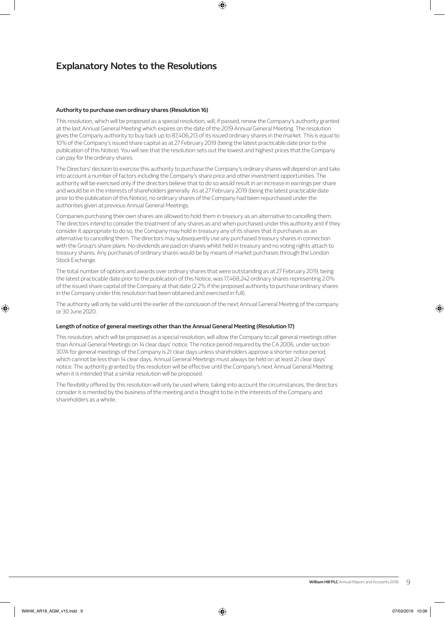#### **Authority to purchase own ordinary shares (Resolution 16)**

This resolution, which will be proposed as a special resolution, will, if passed, renew the Company's authority granted at the last Annual General Meeting which expires on the date of the 2019 Annual General Meeting. The resolution gives the Company authority to buy back up to 87,406,213 of its issued ordinary shares in the market. This is equal to 10% of the Company's issued share capital as at 27 February 2019 (being the latest practicable date prior to the publication of this Notice). You will see that the resolution sets out the lowest and highest prices that the Company can pay for the ordinary shares.

⊕

The Directors' decision to exercise this authority to purchase the Company's ordinary shares will depend on and take into account a number of factors including the Company's share price and other investment opportunities. The authority will be exercised only if the directors believe that to do so would result in an increase in earnings per share and would be in the interests of shareholders generally. As at 27 February 2019 (being the latest practicable date prior to the publication of this Notice), no ordinary shares of the Company had been repurchased under the authorities given at previous Annual General Meetings.

Companies purchasing their own shares are allowed to hold them in treasury as an alternative to cancelling them. The directors intend to consider the treatment of any shares as and when purchased under this authority and if they consider it appropriate to do so, the Company may hold in treasury any of its shares that it purchases as an alternative to cancelling them. The directors may subsequently use any purchased treasury shares in connection with the Group's share plans. No dividends are paid on shares whilst held in treasury and no voting rights attach to treasury shares. Any purchases of ordinary shares would be by means of market purchases through the London Stock Exchange.

The total number of options and awards over ordinary shares that were outstanding as at 27 February 2019, being the latest practicable date prior to the publication of this Notice, was 17,468,242 ordinary shares representing 2.0% of the issued share capital of the Company at that date (2.2% if the proposed authority to purchase ordinary shares in the Company under this resolution had been obtained and exercised in full).

The authority will only be valid until the earlier of the conclusion of the next Annual General Meeting of the company or 30 June 2020.

#### **Length of notice of general meetings other than the Annual General Meeting (Resolution 17)**

This resolution, which will be proposed as a special resolution, will allow the Company to call general meetings other than Annual General Meetings on 14 clear days' notice. The notice period required by the CA 2006, under section 307A for general meetings of the Company is 21 clear days unless shareholders approve a shorter notice period, which cannot be less than 14 clear days. Annual General Meetings must always be held on at least 21 clear days' notice. The authority granted by this resolution will be effective until the Company's next Annual General Meeting when it is intended that a similar resolution will be proposed.

The flexibility offered by this resolution will only be used where, taking into account the circumstances, the directors consider it is merited by the business of the meeting and is thought to be in the interests of the Company and shareholders as a whole.

⊕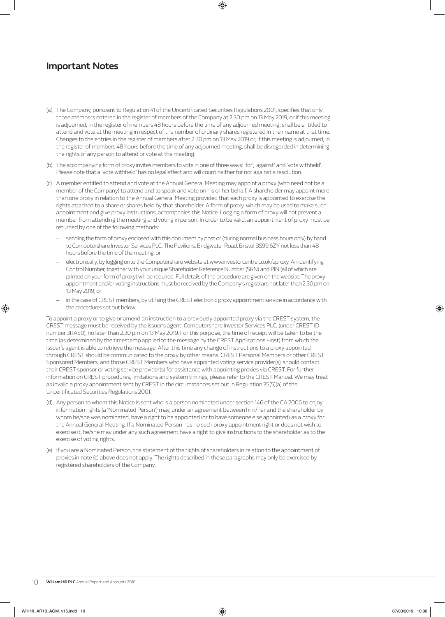### **Important Notes**

(a) The Company, pursuant to Regulation 41 of the Uncertificated Securities Regulations 2001, specifies that only those members entered in the register of members of the Company at 2.30 pm on 13 May 2019, or if this meeting is adjourned, in the register of members 48 hours before the time of any adjourned meeting, shall be entitled to attend and vote at the meeting in respect of the number of ordinary shares registered in their name at that time. Changes to the entries in the register of members after 2.30 pm on 13 May 2019 or, if this meeting is adjourned, in the register of members 48 hours before the time of any adjourned meeting, shall be disregarded in determining the rights of any person to attend or vote at the meeting.

⊕

- (b) The accompanying form of proxy invites members to vote in one of three ways: 'for', 'against' and 'vote withheld'. Please note that a 'vote withheld' has no legal effect and will count neither for nor against a resolution.
- (c) A member entitled to attend and vote at the Annual General Meeting may appoint a proxy (who need not be a member of the Company) to attend and to speak and vote on his or her behalf. A shareholder may appoint more than one proxy in relation to the Annual General Meeting provided that each proxy is appointed to exercise the rights attached to a share or shares held by that shareholder. A form of proxy, which may be used to make such appointment and give proxy instructions, accompanies this Notice. Lodging a form of proxy will not prevent a member from attending the meeting and voting in person. In order to be valid, an appointment of proxy must be returned by one of the following methods:
	- sending the form of proxy enclosed with this document by post or (during normal business hours only) by hand to Computershare Investor Services PLC, The Pavilions, Bridgwater Road, Bristol BS99 6ZY not less than 48 hours before the time of the meeting; or
	- electronically, by logging onto the Computershare website at www.investorcentre.co.uk/eproxy. An identifying Control Number, together with your unique Shareholder Reference Number (SRN) and PIN (all of which are printed on your form of proxy) will be required. Full details of the procedure are given on the website. The proxy appointment and/or voting instructions must be received by the Company's registrars not later than 2.30 pm on 13 May 2019; or
	- in the case of CREST members, by utilising the CREST electronic proxy appointment service in accordance with the procedures set out below.

To appoint a proxy or to give or amend an instruction to a previously appointed proxy via the CREST system, the CREST message must be received by the issuer's agent, Computershare Investor Services PLC, (under CREST ID number 3RA50), no later than 2.30 pm on 13 May 2019. For this purpose, the time of receipt will be taken to be the time (as determined by the timestamp applied to the message by the CREST Applications Host) from which the issuer's agent is able to retrieve the message. After this time any change of instructions to a proxy appointed through CREST should be communicated to the proxy by other means. CREST Personal Members or other CREST Sponsored Members, and those CREST Members who have appointed voting service provider(s), should contact their CREST sponsor or voting service provider(s) for assistance with appointing proxies via CREST. For further information on CREST procedures, limitations and system timings, please refer to the CREST Manual. We may treat as invalid a proxy appointment sent by CREST in the circumstances set out in Regulation 35(5)(a) of the Uncertificated Securities Regulations 2001.

- (d) Any person to whom this Notice is sent who is a person nominated under section 146 of the CA 2006 to enjoy information rights (a 'Nominated Person') may, under an agreement between him/her and the shareholder by whom he/she was nominated, have a right to be appointed (or to have someone else appointed) as a proxy for the Annual General Meeting. If a Nominated Person has no such proxy appointment right or does not wish to exercise it, he/she may under any such agreement have a right to give instructions to the shareholder as to the exercise of voting rights.
- (e) If you are a Nominated Person, the statement of the rights of shareholders in relation to the appointment of proxies in note (c) above does not apply. The rights described in those paragraphs may only be exercised by registered shareholders of the Company.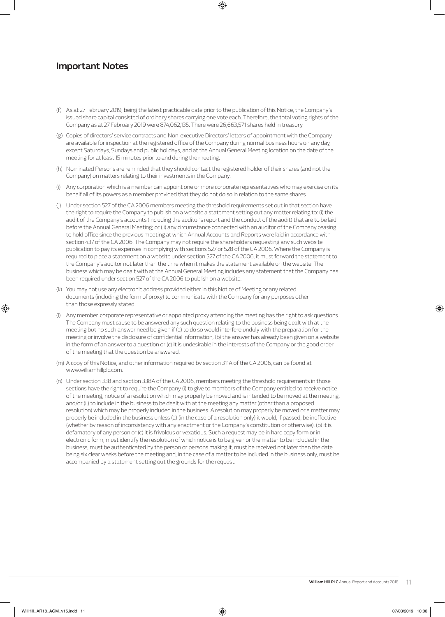### **Important Notes**

(f) As at 27 February 2019, being the latest practicable date prior to the publication of this Notice, the Company's issued share capital consisted of ordinary shares carrying one vote each. Therefore, the total voting rights of the Company as at 27 February 2019 were 874,062,135. There were 26,663,571 shares held in treasury.

⊕

- (g) Copies of directors' service contracts and Non-executive Directors' letters of appointment with the Company are available for inspection at the registered office of the Company during normal business hours on any day, except Saturdays, Sundays and public holidays, and at the Annual General Meeting location on the date of the meeting for at least 15 minutes prior to and during the meeting.
- (h) Nominated Persons are reminded that they should contact the registered holder of their shares (and not the Company) on matters relating to their investments in the Company.
- Any corporation which is a member can appoint one or more corporate representatives who may exercise on its behalf all of its powers as a member provided that they do not do so in relation to the same shares.
- (j) Under section 527 of the CA 2006 members meeting the threshold requirements set out in that section have the right to require the Company to publish on a website a statement setting out any matter relating to: (i) the audit of the Company's accounts (including the auditor's report and the conduct of the audit) that are to be laid before the Annual General Meeting; or (ii) any circumstance connected with an auditor of the Company ceasing to hold office since the previous meeting at which Annual Accounts and Reports were laid in accordance with section 437 of the CA 2006. The Company may not require the shareholders requesting any such website publication to pay its expenses in complying with sections 527 or 528 of the CA 2006. Where the Company is required to place a statement on a website under section 527 of the CA 2006, it must forward the statement to the Company's auditor not later than the time when it makes the statement available on the website. The business which may be dealt with at the Annual General Meeting includes any statement that the Company has been required under section 527 of the CA 2006 to publish on a website.
- (k) You may not use any electronic address provided either in this Notice of Meeting or any related documents (including the form of proxy) to communicate with the Company for any purposes other than those expressly stated.
- (l) Any member, corporate representative or appointed proxy attending the meeting has the right to ask questions. The Company must cause to be answered any such question relating to the business being dealt with at the meeting but no such answer need be given if (a) to do so would interfere unduly with the preparation for the meeting or involve the disclosure of confidential information, (b) the answer has already been given on a website in the form of an answer to a question or (c) it is undesirable in the interests of the Company or the good order of the meeting that the question be answered.
- (m) A copy of this Notice, and other information required by section 311A of the CA 2006, can be found at www.williamhillplc.com.
- (n) Under section 338 and section 338A of the CA 2006, members meeting the threshold requirements in those sections have the right to require the Company (i) to give to members of the Company entitled to receive notice of the meeting, notice of a resolution which may properly be moved and is intended to be moved at the meeting, and/or (ii) to include in the business to be dealt with at the meeting any matter (other than a proposed resolution) which may be properly included in the business. A resolution may properly be moved or a matter may properly be included in the business unless (a) (in the case of a resolution only) it would, if passed, be ineffective (whether by reason of inconsistency with any enactment or the Company's constitution or otherwise), (b) it is defamatory of any person or (c) it is frivolous or vexatious. Such a request may be in hard copy form or in electronic form, must identify the resolution of which notice is to be given or the matter to be included in the business, must be authenticated by the person or persons making it, must be received not later than the date being six clear weeks before the meeting and, in the case of a matter to be included in the business only, must be accompanied by a statement setting out the grounds for the request.